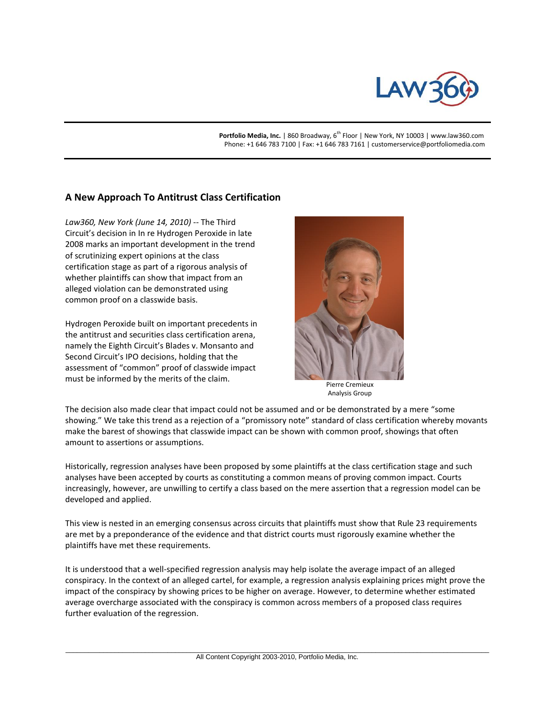

Portfolio Media, Inc. | 860 Broadway, 6<sup>th</sup> Floor | New York, NY 10003 | www.law360.com Phone: +1 646 783 7100 | Fax: +1 646 783 7161 | customerservice@portfoliomedia.com

## **A New Approach To Antitrust Class Certification**

*Law360, New York (June 14, 2010)* -- The Third Circuit's decision in In re Hydrogen Peroxide in late 2008 marks an important development in the trend of scrutinizing expert opinions at the class certification stage as part of a rigorous analysis of whether plaintiffs can show that impact from an alleged violation can be demonstrated using common proof on a classwide basis.

Hydrogen Peroxide built on important precedents in the antitrust and securities class certification arena, namely the Eighth Circuit's Blades v. Monsanto and Second Circuit's IPO decisions, holding that the assessment of "common" proof of classwide impact must be informed by the merits of the claim.



 Pierre Cremieux Analysis Group

The decision also made clear that impact could not be assumed and or be demonstrated by a mere "some showing." We take this trend as a rejection of a "promissory note" standard of class certification whereby movants make the barest of showings that classwide impact can be shown with common proof, showings that often amount to assertions or assumptions.

Historically, regression analyses have been proposed by some plaintiffs at the class certification stage and such analyses have been accepted by courts as constituting a common means of proving common impact. Courts increasingly, however, are unwilling to certify a class based on the mere assertion that a regression model can be developed and applied.

This view is nested in an emerging consensus across circuits that plaintiffs must show that Rule 23 requirements are met by a preponderance of the evidence and that district courts must rigorously examine whether the plaintiffs have met these requirements.

It is understood that a well-specified regression analysis may help isolate the average impact of an alleged conspiracy. In the context of an alleged cartel, for example, a regression analysis explaining prices might prove the impact of the conspiracy by showing prices to be higher on average. However, to determine whether estimated average overcharge associated with the conspiracy is common across members of a proposed class requires further evaluation of the regression.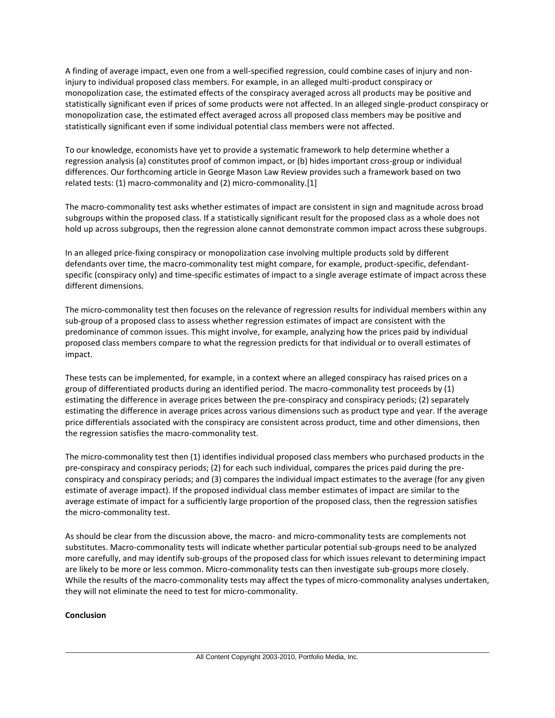A finding of average impact, even one from a well-specified regression, could combine cases of injury and noninjury to individual proposed class members. For example, in an alleged multi-product conspiracy or monopolization case, the estimated effects of the conspiracy averaged across all products may be positive and statistically significant even if prices of some products were not affected. In an alleged single-product conspiracy or monopolization case, the estimated effect averaged across all proposed class members may be positive and statistically significant even if some individual potential class members were not affected.

To our knowledge, economists have yet to provide a systematic framework to help determine whether a regression analysis (a) constitutes proof of common impact, or (b) hides important cross-group or individual differences. Our forthcoming article in George Mason Law Review provides such a framework based on two related tests: (1) macro-commonality and (2) micro-commonality.[1]

The macro-commonality test asks whether estimates of impact are consistent in sign and magnitude across broad subgroups within the proposed class. If a statistically significant result for the proposed class as a whole does not hold up across subgroups, then the regression alone cannot demonstrate common impact across these subgroups.

In an alleged price-fixing conspiracy or monopolization case involving multiple products sold by different defendants over time, the macro-commonality test might compare, for example, product-specific, defendantspecific (conspiracy only) and time-specific estimates of impact to a single average estimate of impact across these different dimensions.

The micro-commonality test then focuses on the relevance of regression results for individual members within any sub-group of a proposed class to assess whether regression estimates of impact are consistent with the predominance of common issues. This might involve, for example, analyzing how the prices paid by individual proposed class members compare to what the regression predicts for that individual or to overall estimates of impact.

These tests can be implemented, for example, in a context where an alleged conspiracy has raised prices on a group of differentiated products during an identified period. The macro-commonality test proceeds by (1) estimating the difference in average prices between the pre-conspiracy and conspiracy periods; (2) separately estimating the difference in average prices across various dimensions such as product type and year. If the average price differentials associated with the conspiracy are consistent across product, time and other dimensions, then the regression satisfies the macro-commonality test.

The micro-commonality test then (1) identifies individual proposed class members who purchased products in the pre-conspiracy and conspiracy periods; (2) for each such individual, compares the prices paid during the preconspiracy and conspiracy periods; and (3) compares the individual impact estimates to the average (for any given estimate of average impact). If the proposed individual class member estimates of impact are similar to the average estimate of impact for a sufficiently large proportion of the proposed class, then the regression satisfies the micro-commonality test.

As should be clear from the discussion above, the macro- and micro-commonality tests are complements not substitutes. Macro-commonality tests will indicate whether particular potential sub-groups need to be analyzed more carefully, and may identify sub-groups of the proposed class for which issues relevant to determining impact are likely to be more or less common. Micro-commonality tests can then investigate sub-groups more closely. While the results of the macro-commonality tests may affect the types of micro-commonality analyses undertaken, they will not eliminate the need to test for micro-commonality.

## **Conclusion**